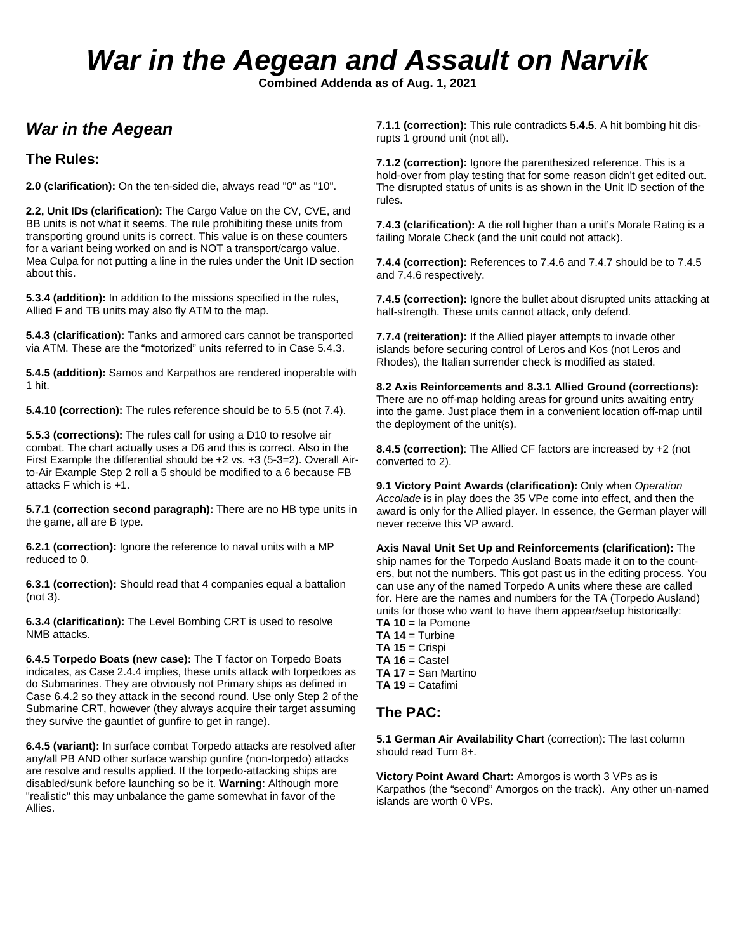# *War in the Aegean and Assault on Narvik*

**Combined Addenda as of Aug. 1, 2021**

### *War in the Aegean*

#### **The Rules:**

**2.0 (clarification):** On the ten-sided die, always read "0" as "10".

**2.2, Unit IDs (clarification):** The Cargo Value on the CV, CVE, and BB units is not what it seems. The rule prohibiting these units from transporting ground units is correct. This value is on these counters for a variant being worked on and is NOT a transport/cargo value. Mea Culpa for not putting a line in the rules under the Unit ID section about this.

**5.3.4 (addition):** In addition to the missions specified in the rules, Allied F and TB units may also fly ATM to the map.

**5.4.3 (clarification):** Tanks and armored cars cannot be transported via ATM. These are the "motorized" units referred to in Case 5.4.3.

**5.4.5 (addition):** Samos and Karpathos are rendered inoperable with 1 hit.

**5.4.10 (correction):** The rules reference should be to 5.5 (not 7.4).

**5.5.3 (corrections):** The rules call for using a D10 to resolve air combat. The chart actually uses a D6 and this is correct. Also in the First Example the differential should be +2 vs. +3 (5-3=2). Overall Airto-Air Example Step 2 roll a 5 should be modified to a 6 because FB attacks F which is +1.

**5.7.1 (correction second paragraph):** There are no HB type units in the game, all are B type.

**6.2.1 (correction):** Ignore the reference to naval units with a MP reduced to 0.

**6.3.1 (correction):** Should read that 4 companies equal a battalion (not 3).

**6.3.4 (clarification):** The Level Bombing CRT is used to resolve NMB attacks.

**6.4.5 Torpedo Boats (new case):** The T factor on Torpedo Boats indicates, as Case 2.4.4 implies, these units attack with torpedoes as do Submarines. They are obviously not Primary ships as defined in Case 6.4.2 so they attack in the second round. Use only Step 2 of the Submarine CRT, however (they always acquire their target assuming they survive the gauntlet of gunfire to get in range).

**6.4.5 (variant):** In surface combat Torpedo attacks are resolved after any/all PB AND other surface warship gunfire (non-torpedo) attacks are resolve and results applied. If the torpedo-attacking ships are disabled/sunk before launching so be it. **Warning**: Although more "realistic" this may unbalance the game somewhat in favor of the Allies.

**7.1.1 (correction):** This rule contradicts **5.4.5**. A hit bombing hit disrupts 1 ground unit (not all).

**7.1.2 (correction):** Ignore the parenthesized reference. This is a hold-over from play testing that for some reason didn't get edited out. The disrupted status of units is as shown in the Unit ID section of the rules.

**7.4.3 (clarification):** A die roll higher than a unit's Morale Rating is a failing Morale Check (and the unit could not attack).

**7.4.4 (correction):** References to 7.4.6 and 7.4.7 should be to 7.4.5 and 7.4.6 respectively.

**7.4.5 (correction):** Ignore the bullet about disrupted units attacking at half-strength. These units cannot attack, only defend.

**7.7.4 (reiteration):** If the Allied player attempts to invade other islands before securing control of Leros and Kos (not Leros and Rhodes), the Italian surrender check is modified as stated.

**8.2 Axis Reinforcements and 8.3.1 Allied Ground (corrections):**  There are no off-map holding areas for ground units awaiting entry into the game. Just place them in a convenient location off-map until the deployment of the unit(s).

**8.4.5 (correction)**: The Allied CF factors are increased by +2 (not converted to 2).

**9.1 Victory Point Awards (clarification):** Only when *Operation Accolade* is in play does the 35 VPe come into effect, and then the award is only for the Allied player. In essence, the German player will never receive this VP award.

**Axis Naval Unit Set Up and Reinforcements (clarification):** The ship names for the Torpedo Ausland Boats made it on to the counters, but not the numbers. This got past us in the editing process. You can use any of the named Torpedo A units where these are called for. Here are the names and numbers for the TA (Torpedo Ausland) units for those who want to have them appear/setup historically: **TA 10** = la Pomone

- **TA 14** = Turbine
- **TA 15** = Crispi
- **TA 16** = Castel **TA 17** = San Martino
- **TA 19** = Catafimi

#### **The PAC:**

**5.1 German Air Availability Chart** (correction): The last column should read Turn 8+.

**Victory Point Award Chart:** Amorgos is worth 3 VPs as is Karpathos (the "second" Amorgos on the track). Any other un-named islands are worth 0 VPs.